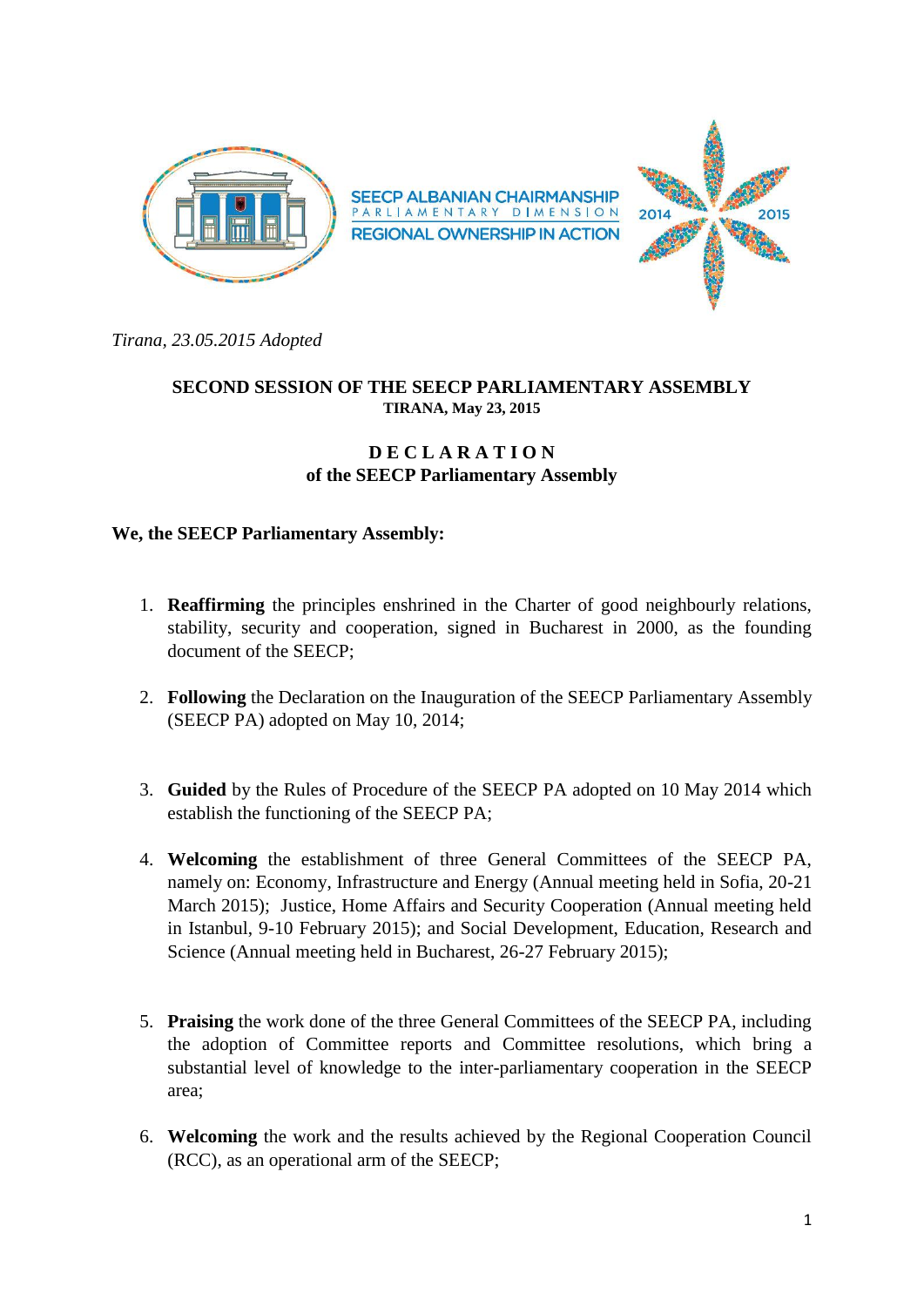

*Tirana, 23.05.2015 Adopted*

## **SECOND SESSION OF THE SEECP PARLIAMENTARY ASSEMBLY TIRANA, May 23, 2015**

## **D E C L A R A T I O N of the SEECP Parliamentary Assembly**

## **We, the SEECP Parliamentary Assembly:**

- 1. **Reaffirming** the principles enshrined in the Charter of good neighbourly relations, stability, security and cooperation, signed in Bucharest in 2000, as the founding document of the SEECP;
- 2. **Following** the Declaration on the Inauguration of the SEECP Parliamentary Assembly (SEECP PA) adopted on May 10, 2014;
- 3. **Guided** by the Rules of Procedure of the SEECP PA adopted on 10 May 2014 which establish the functioning of the SEECP PA;
- 4. **Welcoming** the establishment of three General Committees of the SEECP PA, namely on: Economy, Infrastructure and Energy (Annual meeting held in Sofia, 20-21 March 2015); Justice, Home Affairs and Security Cooperation (Annual meeting held in Istanbul, 9-10 February 2015); and Social Development, Education, Research and Science (Annual meeting held in Bucharest, 26-27 February 2015);
- 5. **Praising** the work done of the three General Committees of the SEECP PA, including the adoption of Committee reports and Committee resolutions, which bring a substantial level of knowledge to the inter-parliamentary cooperation in the SEECP area;
- 6. **Welcoming** the work and the results achieved by the Regional Cooperation Council (RCC), as an operational arm of the SEECP;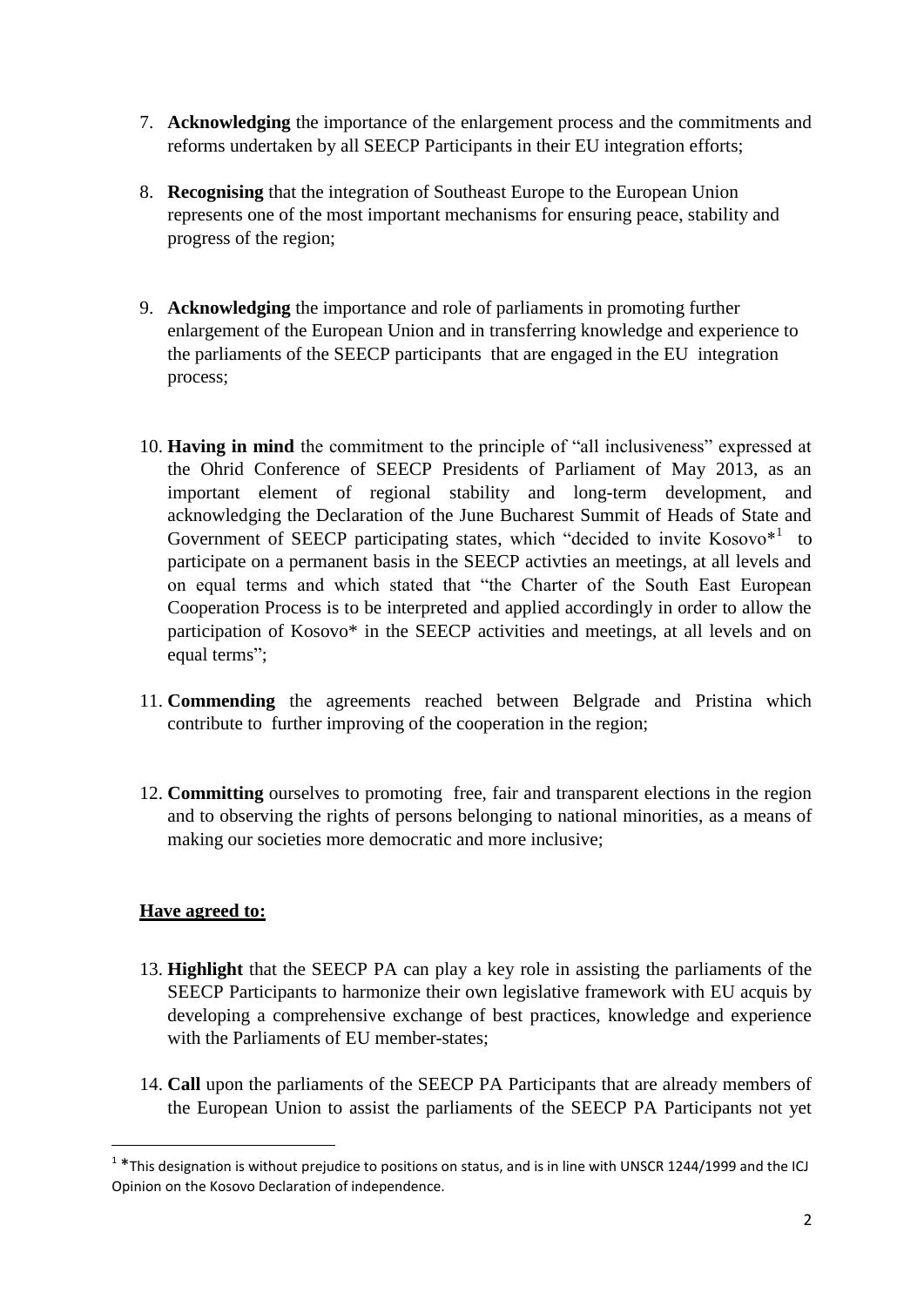- 7. **Acknowledging** the importance of the enlargement process and the commitments and reforms undertaken by all SEECP Participants in their EU integration efforts;
- 8. **Recognising** that the integration of Southeast Europe to the European Union represents one of the most important mechanisms for ensuring peace, stability and progress of the region;
- 9. **Acknowledging** the importance and role of parliaments in promoting further enlargement of the European Union and in transferring knowledge and experience to the parliaments of the SEECP participants that are engaged in the EU integration process;
- 10. **Having in mind** the commitment to the principle of "all inclusiveness" expressed at the Ohrid Conference of SEECP Presidents of Parliament of May 2013, as an important element of regional stability and long-term development, and acknowledging the Declaration of the June Bucharest Summit of Heads of State and Government of SEECP participating states, which "decided to invite  $Kosovo<sup>*1</sup>$  to participate on a permanent basis in the SEECP activties an meetings, at all levels and on equal terms and which stated that "the Charter of the South East European Cooperation Process is to be interpreted and applied accordingly in order to allow the participation of Kosovo\* in the SEECP activities and meetings, at all levels and on equal terms";
- 11. **Commending** the agreements reached between Belgrade and Pristina which contribute to further improving of the cooperation in the region;
- 12. **Committing** ourselves to promoting free, fair and transparent elections in the region and to observing the rights of persons belonging to national minorities, as a means of making our societies more democratic and more inclusive;

## **Have agreed to:**

**.** 

- 13. **Highlight** that the SEECP PA can play a key role in assisting the parliaments of the SEECP Participants to harmonize their own legislative framework with EU acquis by developing a comprehensive exchange of best practices, knowledge and experience with the Parliaments of EU member-states:
- 14. **Call** upon the parliaments of the SEECP PA Participants that are already members of the European Union to assist the parliaments of the SEECP PA Participants not yet

 $1$  \*This designation is without prejudice to positions on status, and is in line with UNSCR 1244/1999 and the ICJ Opinion on the Kosovo Declaration of independence.